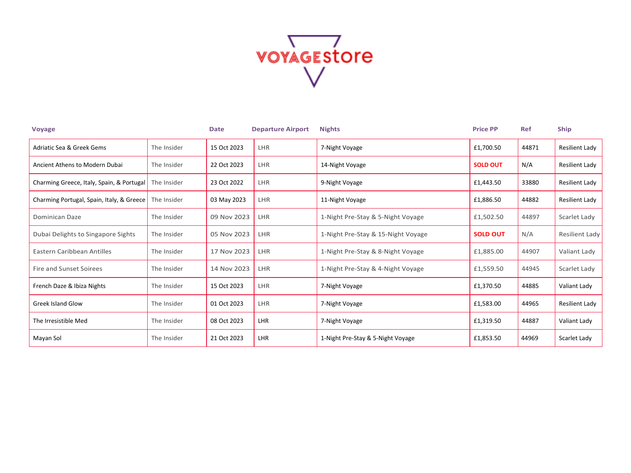

| <b>Voyage</b>                             |             | <b>Date</b> | <b>Departure Airport</b> | <b>Nights</b>                      | <b>Price PP</b> | <b>Ref</b> | <b>Ship</b>    |
|-------------------------------------------|-------------|-------------|--------------------------|------------------------------------|-----------------|------------|----------------|
| Adriatic Sea & Greek Gems                 | The Insider | 15 Oct 2023 | LHR                      | 7-Night Voyage                     | £1,700.50       | 44871      | Resilient Lady |
| Ancient Athens to Modern Dubai            | The Insider | 22 Oct 2023 | LHR                      | 14-Night Voyage                    | <b>SOLD OUT</b> | N/A        | Resilient Lady |
| Charming Greece, Italy, Spain, & Portugal | The Insider | 23 Oct 2022 | LHR                      | 9-Night Voyage                     | £1,443.50       | 33880      | Resilient Lady |
| Charming Portugal, Spain, Italy, & Greece | The Insider | 03 May 2023 | LHR                      | 11-Night Voyage                    | £1,886.50       | 44882      | Resilient Lady |
| Dominican Daze                            | The Insider | 09 Nov 2023 | LHR                      | 1-Night Pre-Stay & 5-Night Voyage  | £1,502.50       | 44897      | Scarlet Lady   |
| Dubai Delights to Singapore Sights        | The Insider | 05 Nov 2023 | LHR                      | 1-Night Pre-Stay & 15-Night Voyage | <b>SOLD OUT</b> | N/A        | Resilient Lady |
| Eastern Caribbean Antilles                | The Insider | 17 Nov 2023 | <b>LHR</b>               | 1-Night Pre-Stay & 8-Night Voyage  | £1,885.00       | 44907      | Valiant Lady   |
| Fire and Sunset Soirees                   | The Insider | 14 Nov 2023 | <b>LHR</b>               | 1-Night Pre-Stay & 4-Night Voyage  | £1,559.50       | 44945      | Scarlet Lady   |
| French Daze & Ibiza Nights                | The Insider | 15 Oct 2023 | LHR                      | 7-Night Voyage                     | £1,370.50       | 44885      | Valiant Lady   |
| <b>Greek Island Glow</b>                  | The Insider | 01 Oct 2023 | LHR                      | 7-Night Voyage                     | £1,583.00       | 44965      | Resilient Lady |
| The Irresistible Med                      | The Insider | 08 Oct 2023 | LHR                      | 7-Night Voyage                     | £1,319.50       | 44887      | Valiant Lady   |
| Mayan Sol                                 | The Insider | 21 Oct 2023 | LHR                      | 1-Night Pre-Stay & 5-Night Voyage  | £1,853.50       | 44969      | Scarlet Lady   |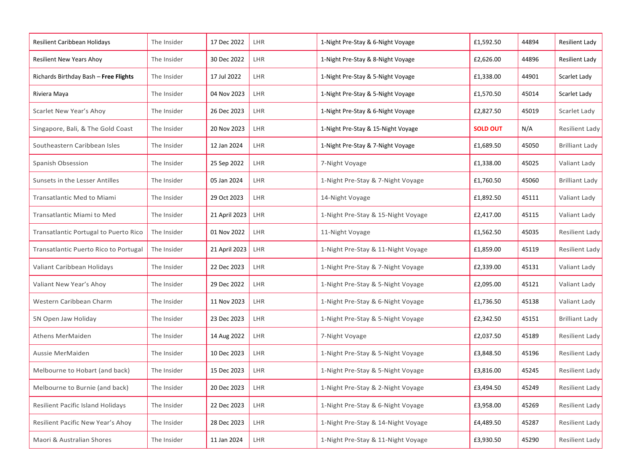| Resilient Caribbean Holidays             | The Insider | 17 Dec 2022   | LHR        | 1-Night Pre-Stay & 6-Night Voyage  | £1,592.50       | 44894 | Resilient Lady        |
|------------------------------------------|-------------|---------------|------------|------------------------------------|-----------------|-------|-----------------------|
| Resilient New Years Ahoy                 | The Insider | 30 Dec 2022   | LHR        | 1-Night Pre-Stay & 8-Night Voyage  | £2,626.00       | 44896 | Resilient Lady        |
| Richards Birthday Bash - Free Flights    | The Insider | 17 Jul 2022   | LHR        | 1-Night Pre-Stay & 5-Night Voyage  | £1,338.00       | 44901 | Scarlet Lady          |
| Riviera Maya                             | The Insider | 04 Nov 2023   | LHR        | 1-Night Pre-Stay & 5-Night Voyage  | £1,570.50       | 45014 | Scarlet Lady          |
| Scarlet New Year's Ahoy                  | The Insider | 26 Dec 2023   | LHR        | 1-Night Pre-Stay & 6-Night Voyage  | £2,827.50       | 45019 | Scarlet Lady          |
| Singapore, Bali, & The Gold Coast        | The Insider | 20 Nov 2023   | LHR        | 1-Night Pre-Stay & 15-Night Voyage | <b>SOLD OUT</b> | N/A   | Resilient Lady        |
| Southeastern Caribbean Isles             | The Insider | 12 Jan 2024   | LHR        | 1-Night Pre-Stay & 7-Night Voyage  | £1,689.50       | 45050 | <b>Brilliant Lady</b> |
| Spanish Obsession                        | The Insider | 25 Sep 2022   | LHR        | 7-Night Voyage                     | £1,338.00       | 45025 | Valiant Lady          |
| Sunsets in the Lesser Antilles           | The Insider | 05 Jan 2024   | LHR        | 1-Night Pre-Stay & 7-Night Voyage  | £1,760.50       | 45060 | <b>Brilliant Lady</b> |
| Transatlantic Med to Miami               | The Insider | 29 Oct 2023   | LHR        | 14-Night Voyage                    | £1,892.50       | 45111 | Valiant Lady          |
| Transatlantic Miami to Med               | The Insider | 21 April 2023 | LHR        | 1-Night Pre-Stay & 15-Night Voyage | £2,417.00       | 45115 | Valiant Lady          |
| Transatlantic Portugal to Puerto Rico    | The Insider | 01 Nov 2022   | LHR        | 11-Night Voyage                    | £1,562.50       | 45035 | Resilient Lady        |
| Transatlantic Puerto Rico to Portugal    | The Insider | 21 April 2023 | LHR        | 1-Night Pre-Stay & 11-Night Voyage | £1,859.00       | 45119 | Resilient Lady        |
| Valiant Caribbean Holidays               | The Insider | 22 Dec 2023   | LHR        | 1-Night Pre-Stay & 7-Night Voyage  | £2,339.00       | 45131 | Valiant Lady          |
| Valiant New Year's Ahoy                  | The Insider | 29 Dec 2022   | LHR        | 1-Night Pre-Stay & 5-Night Voyage  | £2,095.00       | 45121 | Valiant Lady          |
| Western Caribbean Charm                  | The Insider | 11 Nov 2023   | <b>LHR</b> | 1-Night Pre-Stay & 6-Night Voyage  | £1,736.50       | 45138 | Valiant Lady          |
| 5N Open Jaw Holiday                      | The Insider | 23 Dec 2023   | LHR        | 1-Night Pre-Stay & 5-Night Voyage  | £2,342.50       | 45151 | <b>Brilliant Lady</b> |
| Athens MerMaiden                         | The Insider | 14 Aug 2022   | LHR        | 7-Night Voyage                     | £2,037.50       | 45189 | Resilient Lady        |
| Aussie MerMaiden                         | The Insider | 10 Dec 2023   | LHR        | 1-Night Pre-Stay & 5-Night Voyage  | £3,848.50       | 45196 | Resilient Lady        |
| Melbourne to Hobart (and back)           | The Insider | 15 Dec 2023   | LHR        | 1-Night Pre-Stay & 5-Night Voyage  | £3,816.00       | 45245 | Resilient Lady        |
| Melbourne to Burnie (and back)           | The Insider | 20 Dec 2023   | LHR        | 1-Night Pre-Stay & 2-Night Voyage  | £3,494.50       | 45249 | Resilient Lady        |
| <b>Resilient Pacific Island Holidays</b> | The Insider | 22 Dec 2023   | LHR        | 1-Night Pre-Stay & 6-Night Voyage  | £3,958.00       | 45269 | Resilient Lady        |
| Resilient Pacific New Year's Ahoy        | The Insider | 28 Dec 2023   | LHR        | 1-Night Pre-Stay & 14-Night Voyage | £4,489.50       | 45287 | Resilient Lady        |
| Maori & Australian Shores                | The Insider | 11 Jan 2024   | LHR        | 1-Night Pre-Stay & 11-Night Voyage | £3,930.50       | 45290 | Resilient Lady        |